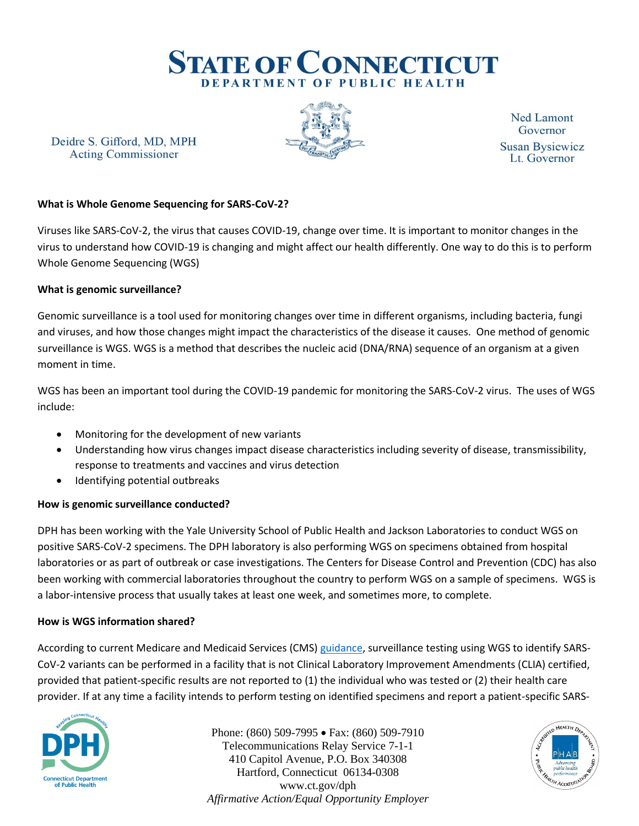

Deidre S. Gifford, MD, MPH **Acting Commissioner** 



**Ned Lamont** Governor **Susan Bysiewicz** Lt. Governor

# **What is Whole Genome Sequencing for SARS-CoV-2?**

Viruses like SARS-CoV-2, the virus that causes COVID-19, change over time. It is important to monitor changes in the virus to understand how COVID-19 is changing and might affect our health differently. One way to do this is to perform Whole Genome Sequencing (WGS)

### **What is genomic surveillance?**

Genomic surveillance is a tool used for monitoring changes over time in different organisms, including bacteria, fungi and viruses, and how those changes might impact the characteristics of the disease it causes. One method of genomic surveillance is WGS. WGS is a method that describes the nucleic acid (DNA/RNA) sequence of an organism at a given moment in time.

WGS has been an important tool during the COVID-19 pandemic for monitoring the SARS-CoV-2 virus. The uses of WGS include:

- Monitoring for the development of new variants
- Understanding how virus changes impact disease characteristics including severity of disease, transmissibility, response to treatments and vaccines and virus detection
- Identifying potential outbreaks

### **How is genomic surveillance conducted?**

DPH has been working with the Yale University School of Public Health and Jackson Laboratories to conduct WGS on positive SARS-CoV-2 specimens. The DPH laboratory is also performing WGS on specimens obtained from hospital laboratories or as part of outbreak or case investigations. The Centers for Disease Control and Prevention (CDC) has also been working with commercial laboratories throughout the country to perform WGS on a sample of specimens. WGS is a labor-intensive process that usually takes at least one week, and sometimes more, to complete.

### **How is WGS information shared?**

According to current Medicare and Medicaid Services (CMS) [guidance,](https://www.cms.gov/files/document/clia-sars-cov-2-variant.pdf) surveillance testing using WGS to identify SARS-CoV-2 variants can be performed in a facility that is not Clinical Laboratory Improvement Amendments (CLIA) certified, provided that patient-specific results are not reported to (1) the individual who was tested or (2) their health care provider. If at any time a facility intends to perform testing on identified specimens and report a patient-specific SARS-



Phone: (860) 509-7995 • Fax: (860) 509-7910 Telecommunications Relay Service 7-1-1 410 Capitol Avenue, P.O. Box 340308 Hartford, Connecticut 06134-0308 www.ct.gov/dph *Affirmative Action/Equal Opportunity Employer*